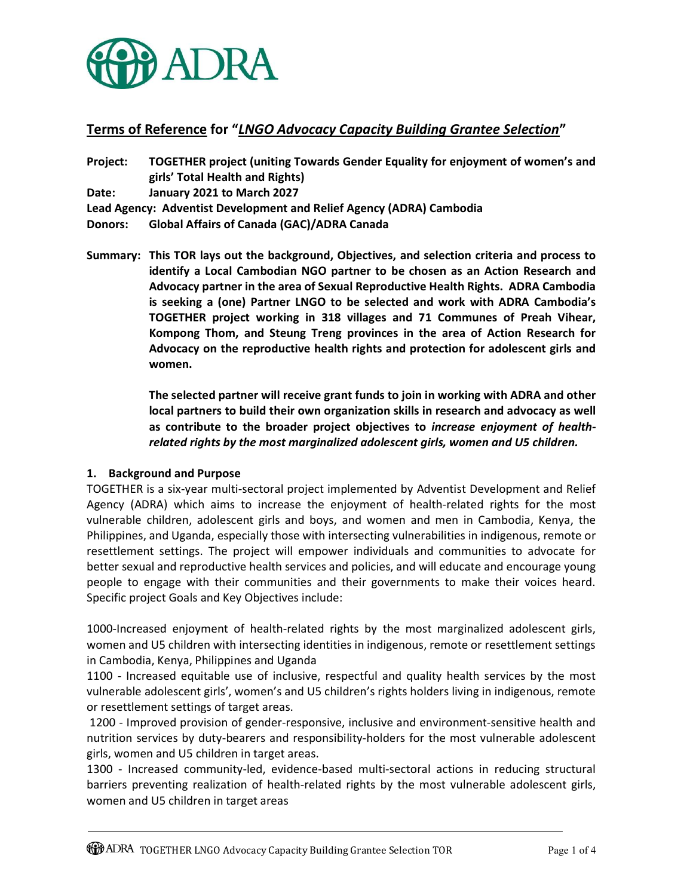

# Terms of Reference for "LNGO Advocacy Capacity Building Grantee Selection"

Project: TOGETHER project (uniting Towards Gender Equality for enjoyment of women's and girls' Total Health and Rights) Date: January 2021 to March 2027 Lead Agency: Adventist Development and Relief Agency (ADRA) Cambodia Donors: Global Affairs of Canada (GAC)/ADRA Canada

Summary: This TOR lays out the background, Objectives, and selection criteria and process to identify a Local Cambodian NGO partner to be chosen as an Action Research and Advocacy partner in the area of Sexual Reproductive Health Rights. ADRA Cambodia is seeking a (one) Partner LNGO to be selected and work with ADRA Cambodia's TOGETHER project working in 318 villages and 71 Communes of Preah Vihear, Kompong Thom, and Steung Treng provinces in the area of Action Research for Advocacy on the reproductive health rights and protection for adolescent girls and women.

> The selected partner will receive grant funds to join in working with ADRA and other local partners to build their own organization skills in research and advocacy as well as contribute to the broader project objectives to increase enjoyment of healthrelated rights by the most marginalized adolescent girls, women and U5 children.

#### 1. Background and Purpose

TOGETHER is a six-year multi-sectoral project implemented by Adventist Development and Relief Agency (ADRA) which aims to increase the enjoyment of health-related rights for the most vulnerable children, adolescent girls and boys, and women and men in Cambodia, Kenya, the Philippines, and Uganda, especially those with intersecting vulnerabilities in indigenous, remote or resettlement settings. The project will empower individuals and communities to advocate for better sexual and reproductive health services and policies, and will educate and encourage young people to engage with their communities and their governments to make their voices heard. Specific project Goals and Key Objectives include:

1000-Increased enjoyment of health-related rights by the most marginalized adolescent girls, women and U5 children with intersecting identities in indigenous, remote or resettlement settings in Cambodia, Kenya, Philippines and Uganda

1100 - Increased equitable use of inclusive, respectful and quality health services by the most vulnerable adolescent girls', women's and U5 children's rights holders living in indigenous, remote or resettlement settings of target areas.

 1200 - Improved provision of gender-responsive, inclusive and environment-sensitive health and nutrition services by duty-bearers and responsibility-holders for the most vulnerable adolescent girls, women and U5 children in target areas.

1300 - Increased community-led, evidence-based multi-sectoral actions in reducing structural barriers preventing realization of health-related rights by the most vulnerable adolescent girls, women and U5 children in target areas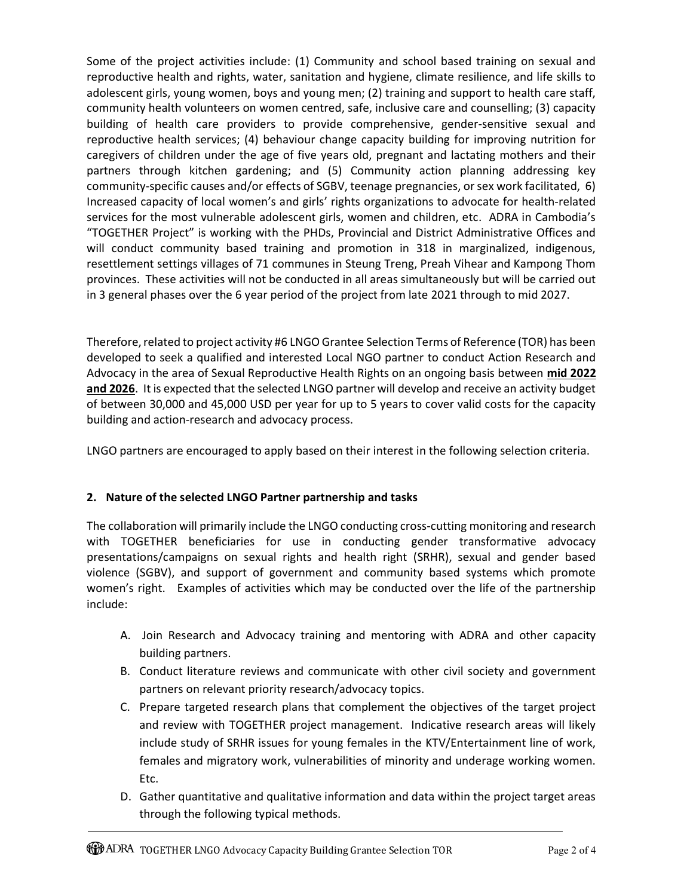Some of the project activities include: (1) Community and school based training on sexual and reproductive health and rights, water, sanitation and hygiene, climate resilience, and life skills to adolescent girls, young women, boys and young men; (2) training and support to health care staff, community health volunteers on women centred, safe, inclusive care and counselling; (3) capacity building of health care providers to provide comprehensive, gender-sensitive sexual and reproductive health services; (4) behaviour change capacity building for improving nutrition for caregivers of children under the age of five years old, pregnant and lactating mothers and their partners through kitchen gardening; and (5) Community action planning addressing key community-specific causes and/or effects of SGBV, teenage pregnancies, or sex work facilitated, 6) Increased capacity of local women's and girls' rights organizations to advocate for health-related services for the most vulnerable adolescent girls, women and children, etc. ADRA in Cambodia's "TOGETHER Project" is working with the PHDs, Provincial and District Administrative Offices and will conduct community based training and promotion in 318 in marginalized, indigenous, resettlement settings villages of 71 communes in Steung Treng, Preah Vihear and Kampong Thom provinces. These activities will not be conducted in all areas simultaneously but will be carried out in 3 general phases over the 6 year period of the project from late 2021 through to mid 2027.

Therefore, related to project activity #6 LNGO Grantee Selection Terms of Reference (TOR) has been developed to seek a qualified and interested Local NGO partner to conduct Action Research and Advocacy in the area of Sexual Reproductive Health Rights on an ongoing basis between mid 2022 and 2026. It is expected that the selected LNGO partner will develop and receive an activity budget of between 30,000 and 45,000 USD per year for up to 5 years to cover valid costs for the capacity building and action-research and advocacy process.

LNGO partners are encouraged to apply based on their interest in the following selection criteria.

## 2. Nature of the selected LNGO Partner partnership and tasks

The collaboration will primarily include the LNGO conducting cross-cutting monitoring and research with TOGETHER beneficiaries for use in conducting gender transformative advocacy presentations/campaigns on sexual rights and health right (SRHR), sexual and gender based violence (SGBV), and support of government and community based systems which promote women's right. Examples of activities which may be conducted over the life of the partnership include:

- A. Join Research and Advocacy training and mentoring with ADRA and other capacity building partners.
- B. Conduct literature reviews and communicate with other civil society and government partners on relevant priority research/advocacy topics.
- C. Prepare targeted research plans that complement the objectives of the target project and review with TOGETHER project management. Indicative research areas will likely include study of SRHR issues for young females in the KTV/Entertainment line of work, females and migratory work, vulnerabilities of minority and underage working women. Etc.
- D. Gather quantitative and qualitative information and data within the project target areas through the following typical methods.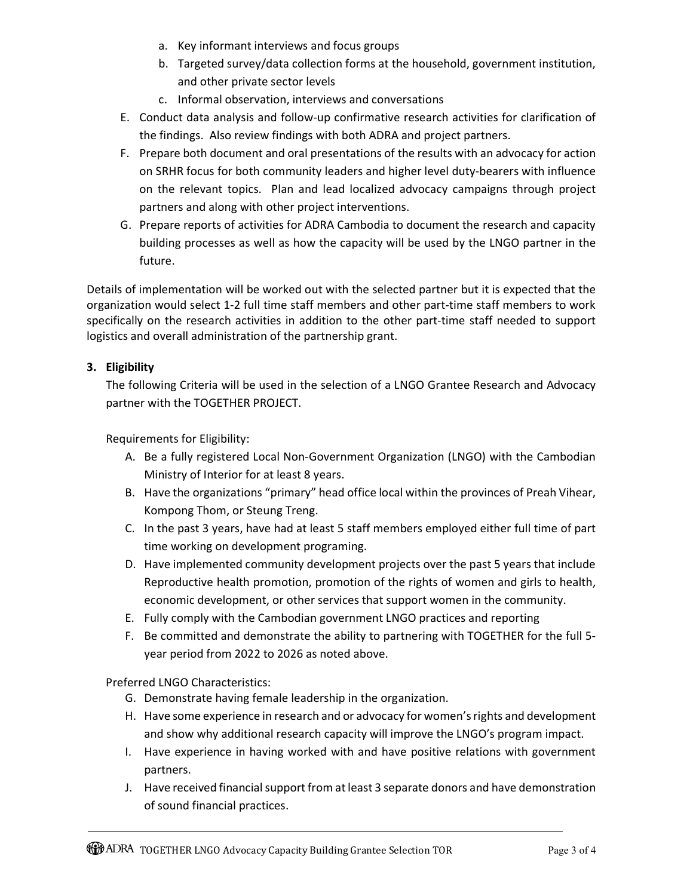- a. Key informant interviews and focus groups
- b. Targeted survey/data collection forms at the household, government institution, and other private sector levels
- c. Informal observation, interviews and conversations
- E. Conduct data analysis and follow-up confirmative research activities for clarification of the findings. Also review findings with both ADRA and project partners.
- F. Prepare both document and oral presentations of the results with an advocacy for action on SRHR focus for both community leaders and higher level duty-bearers with influence on the relevant topics. Plan and lead localized advocacy campaigns through project partners and along with other project interventions.
- G. Prepare reports of activities for ADRA Cambodia to document the research and capacity building processes as well as how the capacity will be used by the LNGO partner in the future.

Details of implementation will be worked out with the selected partner but it is expected that the organization would select 1-2 full time staff members and other part-time staff members to work specifically on the research activities in addition to the other part-time staff needed to support logistics and overall administration of the partnership grant.

## 3. Eligibility

The following Criteria will be used in the selection of a LNGO Grantee Research and Advocacy partner with the TOGETHER PROJECT.

Requirements for Eligibility:

- A. Be a fully registered Local Non-Government Organization (LNGO) with the Cambodian Ministry of Interior for at least 8 years.
- B. Have the organizations "primary" head office local within the provinces of Preah Vihear, Kompong Thom, or Steung Treng.
- C. In the past 3 years, have had at least 5 staff members employed either full time of part time working on development programing.
- D. Have implemented community development projects over the past 5 years that include Reproductive health promotion, promotion of the rights of women and girls to health, economic development, or other services that support women in the community.
- E. Fully comply with the Cambodian government LNGO practices and reporting
- F. Be committed and demonstrate the ability to partnering with TOGETHER for the full 5 year period from 2022 to 2026 as noted above.

Preferred LNGO Characteristics:

- G. Demonstrate having female leadership in the organization.
- H. Have some experience in research and or advocacy for women's rights and development and show why additional research capacity will improve the LNGO's program impact.
- I. Have experience in having worked with and have positive relations with government partners.
- J. Have received financial support from at least 3 separate donors and have demonstration of sound financial practices.